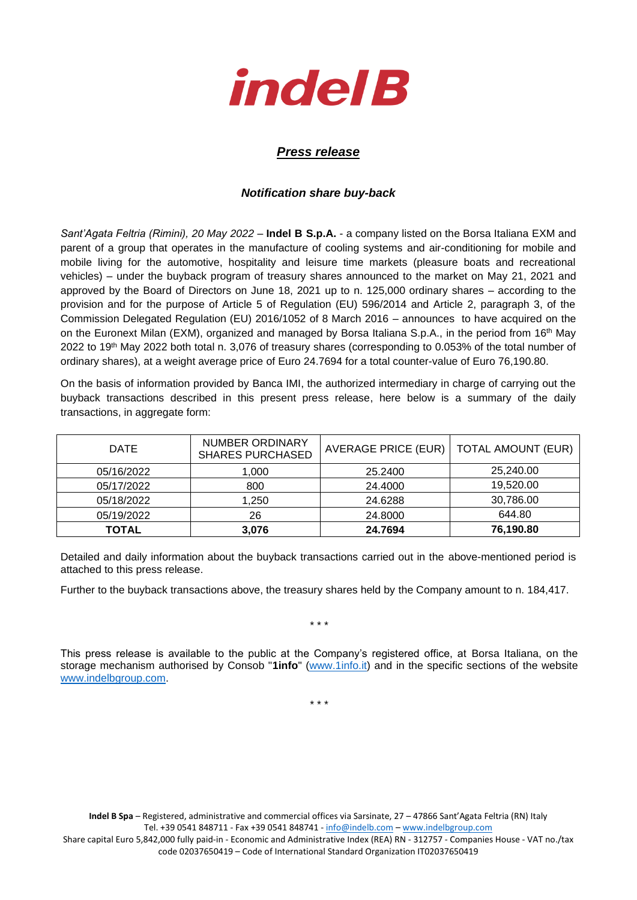

## *Press release*

## *Notification share buy-back*

*Sant'Agata Feltria (Rimini), 20 May 2022* – **Indel B S.p.A.** - a company listed on the Borsa Italiana EXM and parent of a group that operates in the manufacture of cooling systems and air-conditioning for mobile and mobile living for the automotive, hospitality and leisure time markets (pleasure boats and recreational vehicles) – under the buyback program of treasury shares announced to the market on May 21, 2021 and approved by the Board of Directors on June 18, 2021 up to n. 125,000 ordinary shares – according to the provision and for the purpose of Article 5 of Regulation (EU) 596/2014 and Article 2, paragraph 3, of the Commission Delegated Regulation (EU) 2016/1052 of 8 March 2016 – announces to have acquired on the on the Euronext Milan (EXM), organized and managed by Borsa Italiana S.p.A., in the period from 16th May 2022 to 19th May 2022 both total n. 3,076 of treasury shares (corresponding to 0.053% of the total number of ordinary shares), at a weight average price of Euro 24.7694 for a total counter-value of Euro 76,190.80.

On the basis of information provided by Banca IMI, the authorized intermediary in charge of carrying out the buyback transactions described in this present press release, here below is a summary of the daily transactions, in aggregate form:

| <b>DATE</b> | <b>NUMBER ORDINARY</b><br><b>SHARES PURCHASED</b> | AVERAGE PRICE (EUR) | <b>TOTAL AMOUNT (EUR)</b> |
|-------------|---------------------------------------------------|---------------------|---------------------------|
| 05/16/2022  | 1,000                                             | 25,2400             | 25,240.00                 |
| 05/17/2022  | 800                                               | 24.4000             | 19,520.00                 |
| 05/18/2022  | 1.250                                             | 24.6288             | 30,786.00                 |
| 05/19/2022  | 26                                                | 24,8000             | 644.80                    |
| TOTAL       | 3,076                                             | 24.7694             | 76,190.80                 |

Detailed and daily information about the buyback transactions carried out in the above-mentioned period is attached to this press release.

Further to the buyback transactions above, the treasury shares held by the Company amount to n. 184,417.

\* \* \*

This press release is available to the public at the Company's registered office, at Borsa Italiana, on the storage mechanism authorised by Consob "**1info**" [\(www.1info.it\)](file:///C:/Users/ddelietovollaro/AppData/Local/Microsoft/Windows/INetCache/Content.Outlook/T87B94UR/www.1info.it) and in the specific sections of the website [www.indelbgroup.com.](http://www.indelbgroup.com/)

\* \* \*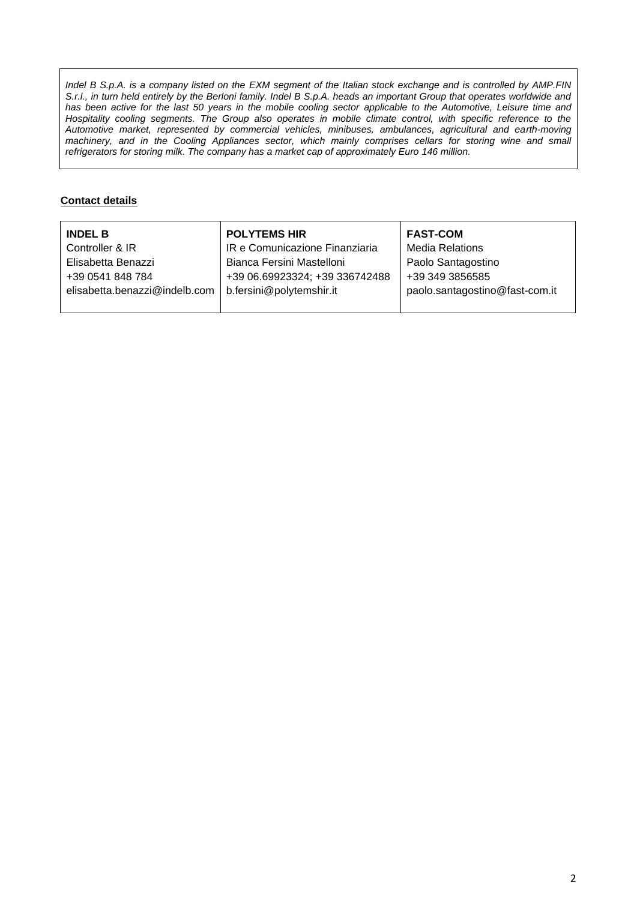*Indel B S.p.A. is a company listed on the EXM segment of the Italian stock exchange and is controlled by AMP.FIN S.r.l., in turn held entirely by the Berloni family. Indel B S.p.A. heads an important Group that operates worldwide and* has been active for the last 50 years in the mobile cooling sector applicable to the Automotive, Leisure time and Hospitality cooling segments. The Group also operates in mobile climate control, with specific reference to the *Automotive market, represented by commercial vehicles, minibuses, ambulances, agricultural and earth-moving machinery, and in the Cooling Appliances sector, which mainly comprises cellars for storing wine and small refrigerators for storing milk. The company has a market cap of approximately Euro 146 million.*

## **Contact details**

| <b>INDEL B</b>                | <b>POLYTEMS HIR</b>            | <b>FAST-COM</b>                |
|-------------------------------|--------------------------------|--------------------------------|
| Controller & IR               | IR e Comunicazione Finanziaria | <b>Media Relations</b>         |
| Elisabetta Benazzi            | Bianca Fersini Mastelloni      | Paolo Santagostino             |
| +39 0541 848 784              | +39 06.69923324; +39 336742488 | +39 349 3856585                |
| elisabetta.benazzi@indelb.com | b.fersini@polytemshir.it       | paolo.santagostino@fast-com.it |
|                               |                                |                                |